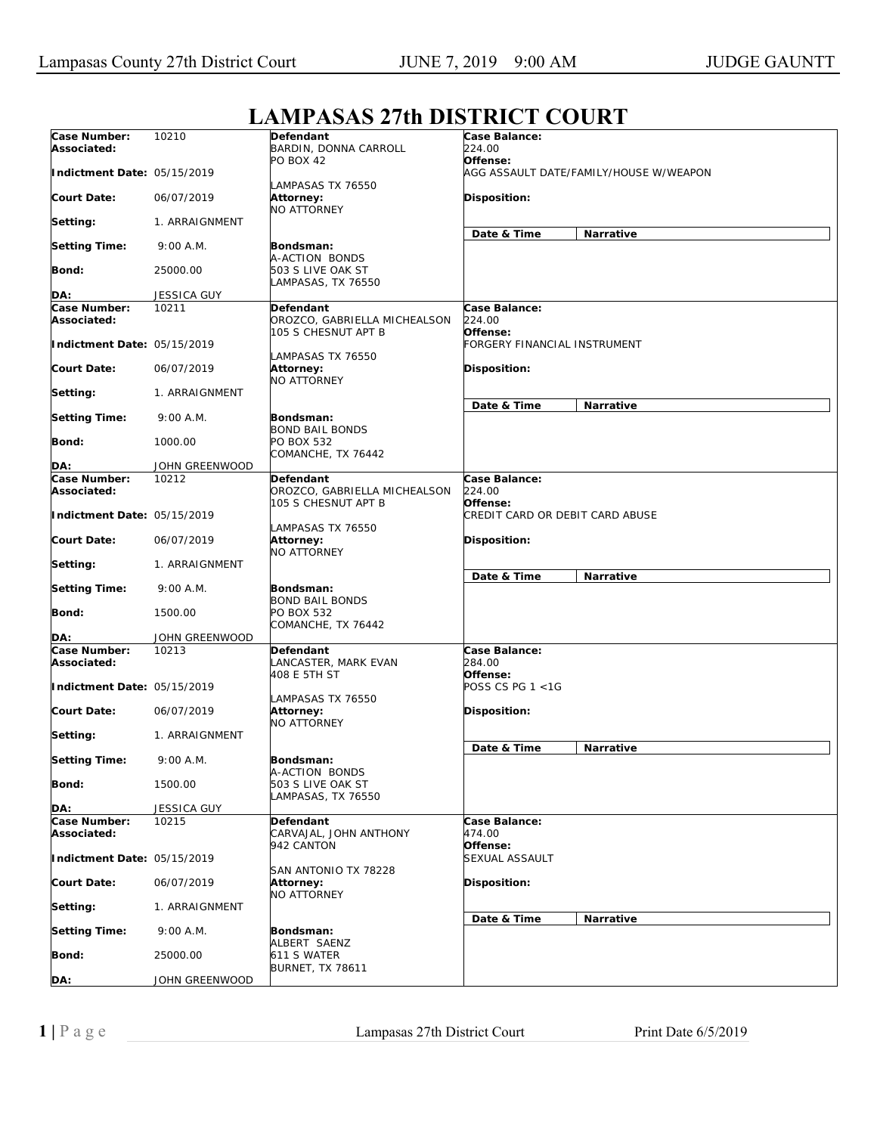## **Case Number: Associated: Indictment Date:**  05/15/2019 **Court Date: Setting: Setting Time: Bond: DA:** 10210 06/07/2019 1. ARRAIGNMENT 9:00 A.M. 25000.00 JESSICA GUY **Defendant**  BARDIN, DONNA CARROLL **PO BOX 42** LAMPASAS TX 76550 **Attorney:**  NO ATTORNEY **Bondsman:**  A-ACTION BONDS 503 S LIVE OAK ST LAMPASAS, TX 76550 **Case Balance:**  *224.00*  **Offense:**  *AGG ASSAULT DATE/FAMILY/HOUSE W/WEAPON*  **Disposition: Date & Time Narrative Case Number: Associated: Indictment Date:**  05/15/2019 **Court Date: Setting: Setting Time: Bond: DA:** 10211 06/07/2019 1. ARRAIGNMENT 9:00 A.M. 1000.00 JOHN GREENWOOD **Defendant**  OROZCO, GABRIELLA MICHEALSON 105 S CHESNUT APT B LAMPASAS TX 76550 **Attorney:**  NO ATTORNEY **Bondsman:**  BOND BAIL BONDS PO BOX 532 COMANCHE, TX 76442 **Case Balance:**  *224.00*  **Offense:**  *FORGERY FINANCIAL INSTRUMENT*  **Disposition: Date & Time Narrative Case Number: Associated: Indictment Date:**  05/15/2019 **Court Date: Setting: Setting Time: Bond: DA:** 10212 06/07/2019 1. ARRAIGNMENT 9:00 A.M. 1500.00 JOHN GREENWOOD **Defendant**  OROZCO, GABRIELLA MICHEALSON 105 S CHESNUT APT B LAMPASAS TX 76550 **Attorney:**  NO ATTORNEY **Bondsman:**  BOND BAIL BONDS PO BOX 532 COMANCHE, TX 76442 **Case Balance:**  *224.00*  **Offense:**  *CREDIT CARD OR DEBIT CARD ABUSE*  **Disposition: Date & Time Narrative Case Number: Associated: Indictment Date:**  05/15/2019 **Court Date: Setting: Setting Time: Bond: DA:** 10213 06/07/2019 1. ARRAIGNMENT 9:00 A.M. 1500.00 JESSICA GUY **Defendant**  LANCASTER, MARK EVAN 408 E 5TH ST LAMPASAS TX 76550 **Attorney:**  NO ATTORNEY **Bondsman:**  A-ACTION BONDS 503 S LIVE OAK ST LAMPASAS, TX 76550 **Case Balance:**  *284.00*  **Offense:**  *POSS CS PG 1 <1G*  **Disposition: Date & Time Narrative Case Number: Associated: Indictment Date:**  05/15/2019 **Court Date: Setting: Setting Time: Bond: DA:** 10215 06/07/2019 1. ARRAIGNMENT 9:00 A.M. 25000.00 JOHN GREENWOOD **Defendant**  CARVAJAL, JOHN ANTHONY 942 CANTON SAN ANTONIO TX 78228 **Attorney:**  NO ATTORNEY **Bondsman:**  ALBERT SAENZ 611 S WATER BURNET, TX 78611 **Case Balance:**  *474.00*  **Offense:**  *SEXUAL ASSAULT*  **Disposition: Date & Time Narrative**

## **LAMPASAS 27th DISTRICT COURT**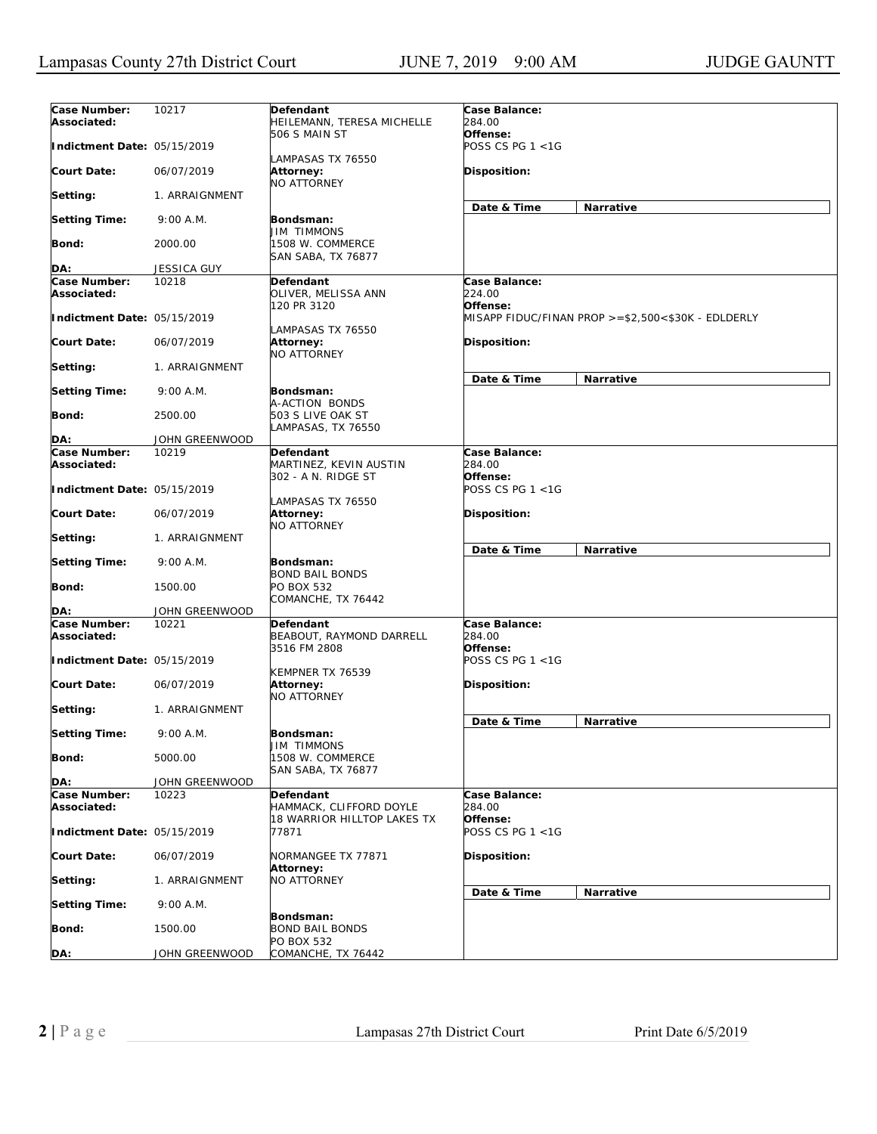| Case Number:<br>Associated: | 10217          | Defendant<br>HEILEMANN, TERESA MICHELLE               | Case Balance:<br>284.00             |                                                    |
|-----------------------------|----------------|-------------------------------------------------------|-------------------------------------|----------------------------------------------------|
| Indictment Date: 05/15/2019 |                | 506 S MAIN ST<br>LAMPASAS TX 76550                    | Offense:<br>POSS CS PG 1 <1G        |                                                    |
| Court Date:                 | 06/07/2019     | Attorney:<br>NO ATTORNEY                              | <b>Disposition:</b>                 |                                                    |
| Setting:                    | 1. ARRAIGNMENT |                                                       | Date & Time                         | Narrative                                          |
| <b>Setting Time:</b>        | 9:00 A.M.      | Bondsman:<br>JIM TIMMONS                              |                                     |                                                    |
| Bond:                       | 2000.00        | 1508 W. COMMERCE<br>SAN SABA, TX 76877                |                                     |                                                    |
| DA:                         | JESSICA GUY    |                                                       |                                     |                                                    |
| Case Number:                | 10218          | Defendant                                             | Case Balance:                       |                                                    |
| Associated:                 |                | OLIVER, MELISSA ANN<br>120 PR 3120                    | 224.00<br>Offense:                  |                                                    |
| Indictment Date: 05/15/2019 |                | LAMPASAS TX 76550                                     |                                     | MISAPP FIDUC/FINAN PROP >=\$2,500<\$30K - EDLDERLY |
| Court Date:                 | 06/07/2019     | Attorney:<br>NO ATTORNEY                              | <b>Disposition:</b>                 |                                                    |
| Setting:                    | 1. ARRAIGNMENT |                                                       | Date & Time                         | Narrative                                          |
| <b>Setting Time:</b>        | 9:00 A.M.      | Bondsman:<br>A-ACTION BONDS                           |                                     |                                                    |
| Bond:                       | 2500.00        | 503 S LIVE OAK ST<br>LAMPASAS, TX 76550               |                                     |                                                    |
| DA:                         | JOHN GREENWOOD |                                                       |                                     |                                                    |
| Case Number:                | 10219          | Defendant                                             | Case Balance:                       |                                                    |
| Associated:                 |                | MARTINEZ, KEVIN AUSTIN                                | 284.00                              |                                                    |
| Indictment Date: 05/15/2019 |                | 302 - A N. RIDGE ST                                   | Offense:<br>POSS CS PG 1 <1G        |                                                    |
| Court Date:                 | 06/07/2019     | LAMPASAS TX 76550<br>Attorney:<br><b>NO ATTORNEY</b>  | <b>Disposition:</b>                 |                                                    |
| Setting:                    | 1. ARRAIGNMENT |                                                       | Date & Time                         | Narrative                                          |
| Setting Time:               | 9:00 A.M.      | <b>Bondsman:</b><br><b>BOND BAIL BONDS</b>            |                                     |                                                    |
| Bond:                       | 1500.00        | PO BOX 532<br>COMANCHE, TX 76442                      |                                     |                                                    |
| DA:                         | JOHN GREENWOOD |                                                       |                                     |                                                    |
| Case Number:<br>Associated: | 10221          | Defendant<br>BEABOUT, RAYMOND DARRELL<br>3516 FM 2808 | Case Balance:<br>284.00<br>Offense: |                                                    |
| Indictment Date: 05/15/2019 |                |                                                       | POSS CS PG 1 <1G                    |                                                    |
| Court Date:                 | 06/07/2019     | KEMPNER TX 76539<br>Attorney:<br>NO ATTORNEY          | Disposition:                        |                                                    |
| Setting:                    | 1. ARRAIGNMENT |                                                       | Date & Time                         | <b>Narrative</b>                                   |
| <b>Setting Time:</b>        | 9:00 A.M.      | Bondsman:<br><b>JIM TIMMONS</b>                       |                                     |                                                    |
| Bond:                       | 5000.00        | 1508 W. COMMERCE<br>SAN SABA, TX 76877                |                                     |                                                    |
| DA:                         | JOHN GREENWOOD |                                                       |                                     |                                                    |
| Case Number:<br>Associated: | 10223          | Defendant<br>HAMMACK, CLIFFORD DOYLE                  | Case Balance:<br>284.00             |                                                    |
| Indictment Date: 05/15/2019 |                | 18 WARRIOR HILLTOP LAKES TX<br>77871                  | Offense:<br>POSS CS PG 1 <1G        |                                                    |
| <b>Court Date:</b>          | 06/07/2019     | NORMANGEE TX 77871<br>Attorney:                       | Disposition:                        |                                                    |
| Setting:                    | 1. ARRAIGNMENT | <b>NO ATTORNEY</b>                                    |                                     |                                                    |
| <b>Setting Time:</b>        | 9:00 A.M.      |                                                       | Date & Time                         | Narrative                                          |
| <b>Bond:</b>                | 1500.00        | Bondsman:<br><b>BOND BAIL BONDS</b>                   |                                     |                                                    |
| DA:                         | JOHN GREENWOOD | PO BOX 532<br>COMANCHE, TX 76442                      |                                     |                                                    |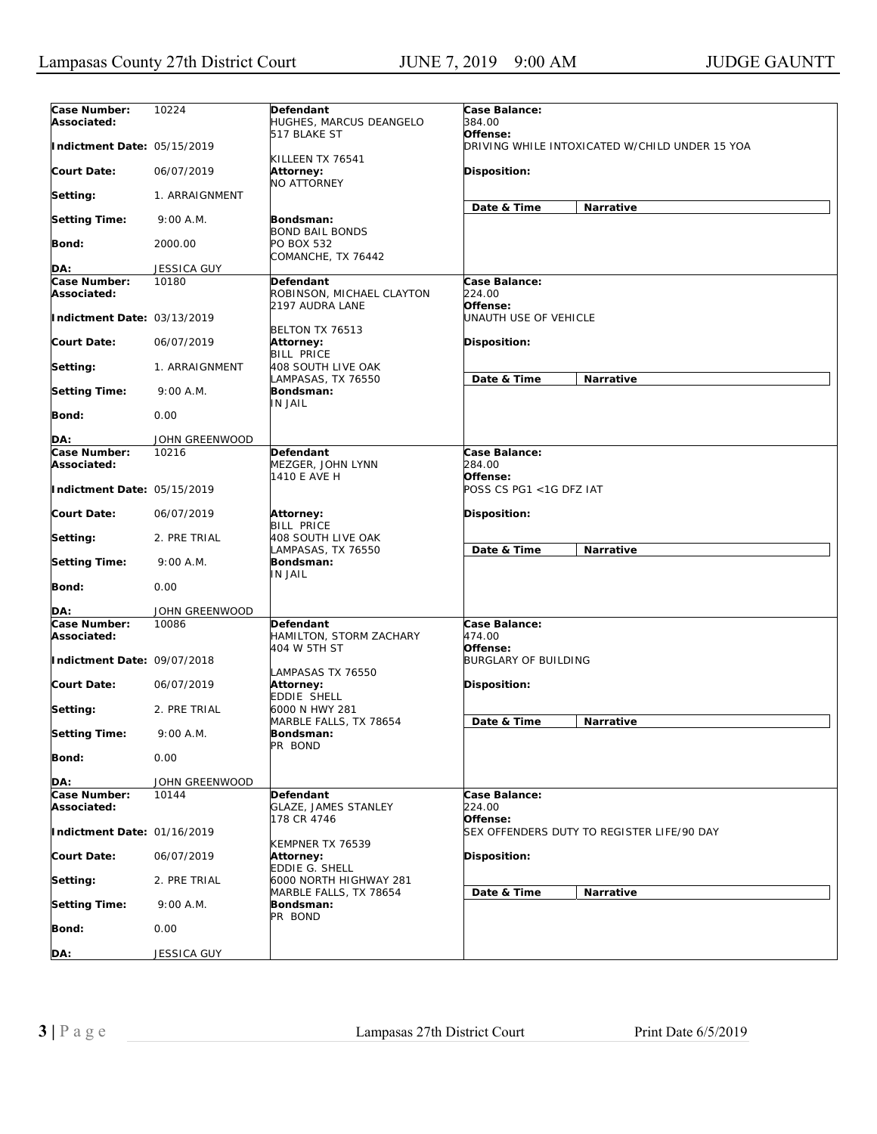| Case Number:<br>Associated: | 10224              | Defendant<br>HUGHES, MARCUS DEANGELO                 | Case Balance:<br>384.00             |                                                |
|-----------------------------|--------------------|------------------------------------------------------|-------------------------------------|------------------------------------------------|
| Indictment Date: 05/15/2019 |                    | 517 BLAKE ST<br>KILLEEN TX 76541                     | Offense:                            | DRIVING WHILE INTOXICATED W/CHILD UNDER 15 YOA |
| <b>Court Date:</b>          | 06/07/2019         | Attorney:<br><b>NO ATTORNEY</b>                      | Disposition:                        |                                                |
| Setting:                    | 1. ARRAIGNMENT     |                                                      | Date & Time                         | Narrative                                      |
| <b>Setting Time:</b>        | 9:00 A.M.          | Bondsman:<br><b>BOND BAIL BONDS</b>                  |                                     |                                                |
| Bond:                       | 2000.00            | PO BOX 532<br>COMANCHE, TX 76442                     |                                     |                                                |
| DA:                         | <b>JESSICA GUY</b> |                                                      |                                     |                                                |
| Case Number:                | 10180              | Defendant                                            | Case Balance:                       |                                                |
| Associated:                 |                    | ROBINSON, MICHAEL CLAYTON<br>2197 AUDRA LANE         | 224.00<br>Offense:                  |                                                |
| Indictment Date: 03/13/2019 |                    | BELTON TX 76513                                      | UNAUTH USE OF VEHICLE               |                                                |
| Court Date:                 | 06/07/2019         | Attorney:<br><b>BILL PRICE</b>                       | <b>Disposition:</b>                 |                                                |
| Setting:                    | 1. ARRAIGNMENT     | 408 SOUTH LIVE OAK<br>LAMPASAS, TX 76550             | Date & Time                         | Narrative                                      |
| <b>Setting Time:</b>        | 9:00 A.M.          | Bondsman:<br>IN JAIL                                 |                                     |                                                |
| <b>Bond:</b>                | 0.00               |                                                      |                                     |                                                |
| DA:                         | JOHN GREENWOOD     |                                                      |                                     |                                                |
| Case Number:                | 10216              | Defendant                                            | Case Balance:                       |                                                |
| Associated:                 |                    | MEZGER, JOHN LYNN                                    | 284.00                              |                                                |
| Indictment Date: 05/15/2019 |                    | 1410 E AVE H                                         | Offense:<br>POSS CS PG1 <1G DFZ IAT |                                                |
| <b>Court Date:</b>          | 06/07/2019         | Attorney:<br><b>BILL PRICE</b>                       | <b>Disposition:</b>                 |                                                |
| Setting:                    | 2. PRE TRIAL       | 408 SOUTH LIVE OAK<br>LAMPASAS, TX 76550             | Date & Time                         | Narrative                                      |
| <b>Setting Time:</b>        | 9:00 A.M.          | Bondsman:<br>IN JAIL                                 |                                     |                                                |
| Bond:                       | 0.00               |                                                      |                                     |                                                |
| DA:                         | JOHN GREENWOOD     |                                                      |                                     |                                                |
| Case Number:<br>Associated: | 10086              | Defendant<br>HAMILTON, STORM ZACHARY<br>404 W 5TH ST | Case Balance:<br>474.00<br>Offense: |                                                |
| Indictment Date: 09/07/2018 |                    | LAMPASAS TX 76550                                    | <b>BURGLARY OF BUILDING</b>         |                                                |
| <b>Court Date:</b>          | 06/07/2019         | Attorney:<br><b>EDDIE SHELL</b>                      | <b>Disposition:</b>                 |                                                |
| Setting:                    | 2. PRE TRIAL       | 6000 N HWY 281<br>MARBLE FALLS, TX 78654             | Date & Time                         | Narrative                                      |
| <b>Setting Time:</b>        | 9:00 A.M.          | Bondsman:<br>PR BOND                                 |                                     |                                                |
| <b>Bond:</b>                | 0.00               |                                                      |                                     |                                                |
| DA:                         | JOHN GREENWOOD     |                                                      |                                     |                                                |
| Case Number:<br>Associated: | 10144              | Defendant<br><b>GLAZE, JAMES STANLEY</b>             | Case Balance:<br>224.00             |                                                |
| Indictment Date: 01/16/2019 |                    | 178 CR 4746                                          | Offense:                            | SEX OFFENDERS DUTY TO REGISTER LIFE/90 DAY     |
| <b>Court Date:</b>          | 06/07/2019         | KEMPNER TX 76539<br>Attorney:                        | Disposition:                        |                                                |
| Setting:                    | 2. PRE TRIAL       | EDDIE G. SHELL<br>6000 NORTH HIGHWAY 281             |                                     |                                                |
| <b>Setting Time:</b>        | 9:00 A.M.          | MARBLE FALLS, TX 78654<br><b>Bondsman:</b>           | Date & Time                         | Narrative                                      |
| <b>Bond:</b>                | 0.00               | PR BOND                                              |                                     |                                                |
| DA:                         | JESSICA GUY        |                                                      |                                     |                                                |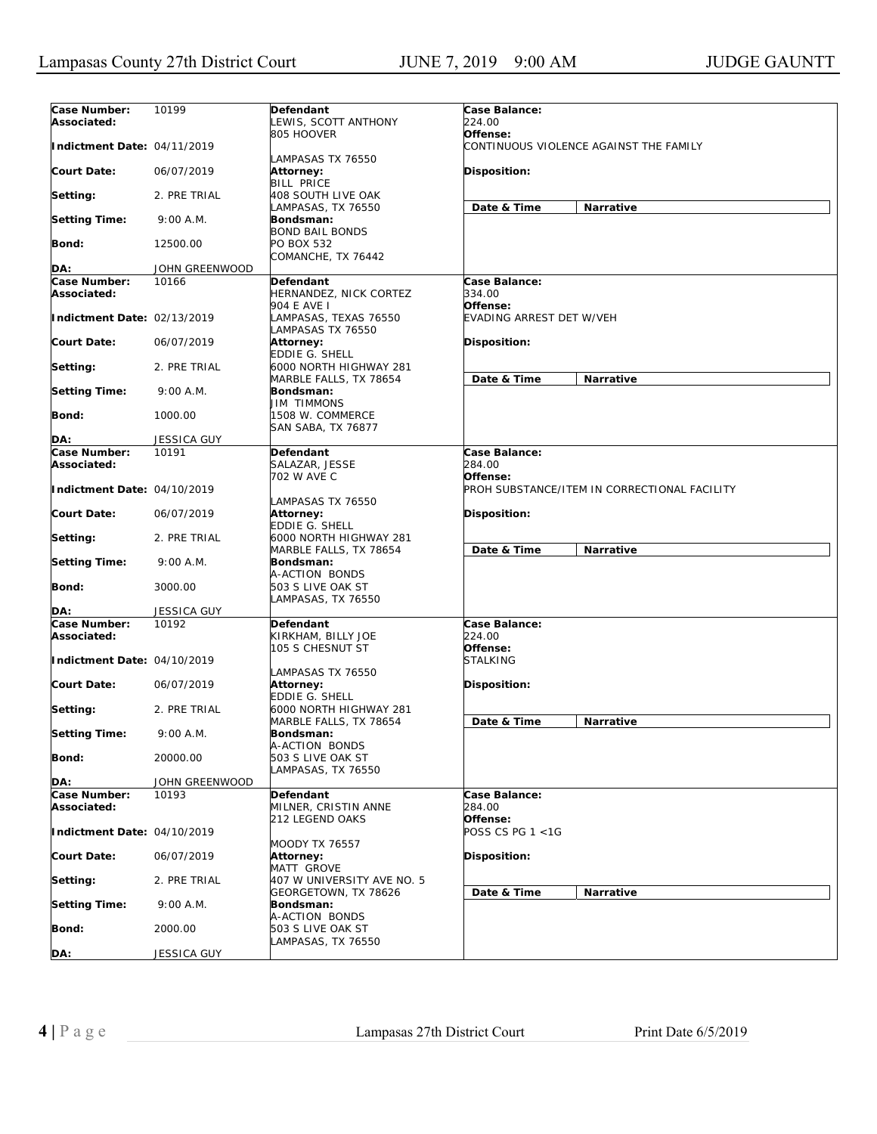| Case Number:<br>Associated: | 10199              | Defendant<br>LEWIS, SCOTT ANTHONY                         | Case Balance:<br>224.00                                  |
|-----------------------------|--------------------|-----------------------------------------------------------|----------------------------------------------------------|
| Indictment Date: 04/11/2019 |                    | 805 HOOVER                                                | Offense:<br>CONTINUOUS VIOLENCE AGAINST THE FAMILY       |
| Court Date:                 | 06/07/2019         | LAMPASAS TX 76550<br>Attorney:<br><b>BILL PRICE</b>       | <b>Disposition:</b>                                      |
| Setting:                    | 2. PRE TRIAL       | <b>408 SOUTH LIVE OAK</b><br>LAMPASAS, TX 76550           | Date & Time<br>Narrative                                 |
| <b>Setting Time:</b>        | 9:00 A.M.          | Bondsman:<br><b>BOND BAIL BONDS</b>                       |                                                          |
| Bond:                       | 12500.00           | PO BOX 532<br>COMANCHE, TX 76442                          |                                                          |
|                             |                    |                                                           |                                                          |
| DA:                         | JOHN GREENWOOD     |                                                           |                                                          |
| Case Number:<br>Associated: | 10166              | <b>Defendant</b><br>HERNANDEZ, NICK CORTEZ<br>904 E AVE I | Case Balance:<br>334.00<br>Offense:                      |
| Indictment Date: 02/13/2019 |                    | LAMPASAS, TEXAS 76550<br>LAMPASAS TX 76550                | EVADING ARREST DET W/VEH                                 |
| Court Date:                 | 06/07/2019         | <b>Attorney:</b><br>EDDIE G. SHELL                        | <b>Disposition:</b>                                      |
| Setting:                    | 2. PRE TRIAL       | 6000 NORTH HIGHWAY 281<br>MARBLE FALLS, TX 78654          | Date & Time<br>Narrative                                 |
| <b>Setting Time:</b>        | 9:00 A.M.          | Bondsman:<br><b>JIM TIMMONS</b>                           |                                                          |
| Bond:                       | 1000.00            | 1508 W. COMMERCE<br><b>SAN SABA, TX 76877</b>             |                                                          |
| DA:                         | <b>JESSICA GUY</b> |                                                           |                                                          |
| Case Number:                | 10191              | Defendant                                                 | Case Balance:                                            |
| Associated:                 |                    | SALAZAR, JESSE                                            | 284.00                                                   |
| Indictment Date: 04/10/2019 |                    | 702 W AVE C                                               | Offense:<br>PROH SUBSTANCE/ITEM IN CORRECTIONAL FACILITY |
| Court Date:                 | 06/07/2019         | LAMPASAS TX 76550<br>Attorney:<br>EDDIE G. SHELL          | <b>Disposition:</b>                                      |
| Setting:                    | 2. PRE TRIAL       | 6000 NORTH HIGHWAY 281<br>MARBLE FALLS, TX 78654          | Date & Time<br>Narrative                                 |
| <b>Setting Time:</b>        | 9:00 A.M.          | Bondsman:<br>A-ACTION BONDS                               |                                                          |
| Bond:                       | 3000.00            | 503 S LIVE OAK ST<br>LAMPASAS, TX 76550                   |                                                          |
| DA:                         | JESSICA GUY        |                                                           |                                                          |
| Case Number:<br>Associated: | 10192              | Defendant<br>KIRKHAM, BILLY JOE                           | Case Balance:<br>224.00                                  |
| Indictment Date: 04/10/2019 |                    | 105 S CHESNUT ST                                          | Offense:<br><b>STALKING</b>                              |
| <b>Court Date:</b>          | 06/07/2019         | LAMPASAS TX 76550<br><b>Attorney:</b><br>EDDIE G. SHELL   | <b>Disposition:</b>                                      |
| Setting:                    | 2. PRE TRIAL       | 6000 NORTH HIGHWAY 281                                    | Date & Time                                              |
| <b>Setting Time:</b>        | 9:00 A.M.          | MARBLE FALLS, TX 78654<br>Bondsman:<br>A-ACTION BONDS     | Narrative                                                |
| Bond:                       | 20000.00           | 503 S LIVE OAK ST<br>LAMPASAS, TX 76550                   |                                                          |
| DA:                         | JOHN GREENWOOD     |                                                           |                                                          |
| Case Number:<br>Associated: | 10193              | Defendant<br>MILNER, CRISTIN ANNE                         | Case Balance:<br>284.00                                  |
| Indictment Date: 04/10/2019 |                    | 212 LEGEND OAKS                                           | Offense:<br>POSS CS PG 1 <1G                             |
| <b>Court Date:</b>          | 06/07/2019         | <b>MOODY TX 76557</b><br><b>Attorney:</b><br>MATT GROVE   | Disposition:                                             |
| Setting:                    | 2. PRE TRIAL       | 407 W UNIVERSITY AVE NO. 5<br>GEORGETOWN, TX 78626        |                                                          |
| <b>Setting Time:</b>        | 9:00 A.M.          | Bondsman:<br>A-ACTION BONDS                               | Date & Time<br>Narrative                                 |
| Bond:                       | 2000.00            | 503 S LIVE OAK ST                                         |                                                          |
| DA:                         | JESSICA GUY        | LAMPASAS, TX 76550                                        |                                                          |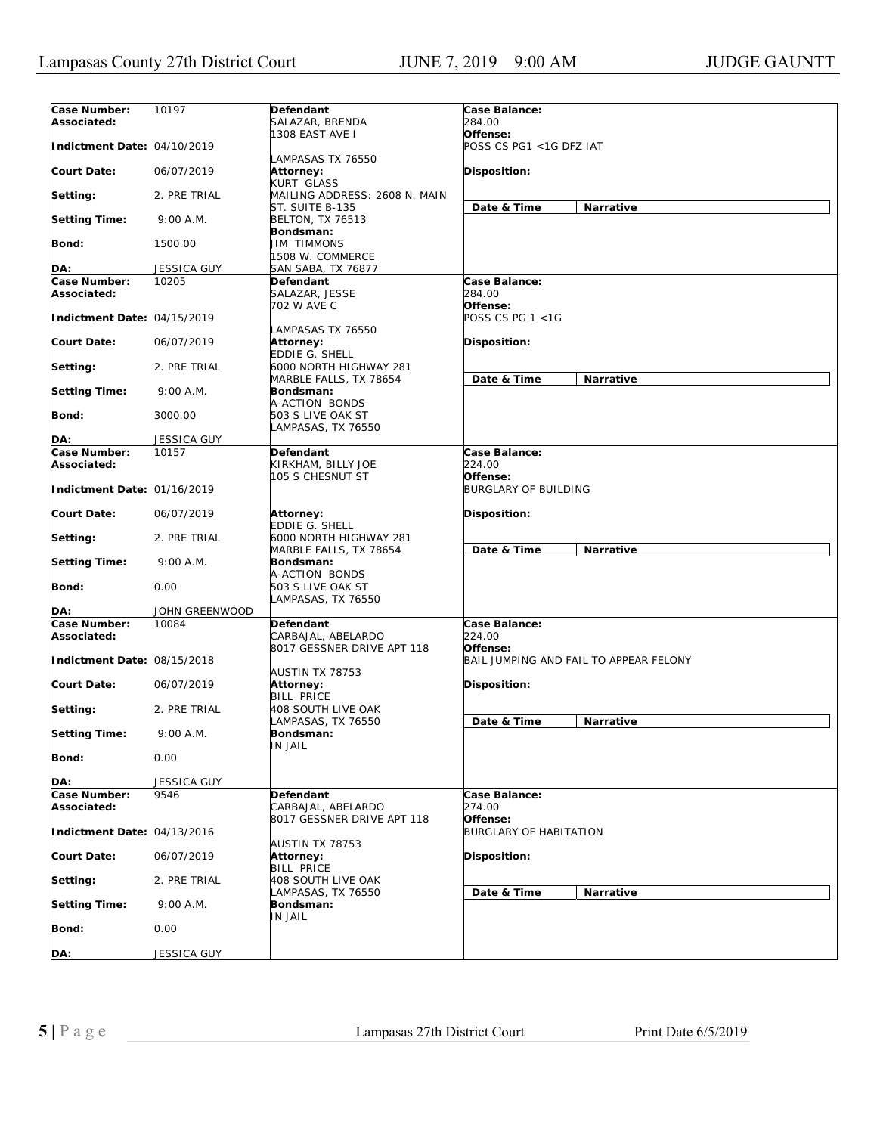| Case Number:                       | 10197          | Defendant                                                     | Case Balance:                             |                                        |
|------------------------------------|----------------|---------------------------------------------------------------|-------------------------------------------|----------------------------------------|
| Associated:                        |                | SALAZAR, BRENDA<br>1308 EAST AVE I                            | 284.00<br>Offense:                        |                                        |
| Indictment Date: 04/10/2019        |                | LAMPASAS TX 76550                                             | POSS CS PG1 <1G DFZ IAT                   |                                        |
| <b>Court Date:</b>                 | 06/07/2019     | Attorney:<br><b>KURT GLASS</b>                                | <b>Disposition:</b>                       |                                        |
| Setting:                           | 2. PRE TRIAL   | MAILING ADDRESS: 2608 N. MAIN<br>ST. SUITE B-135              | Date & Time                               | Narrative                              |
| <b>Setting Time:</b>               | 9:00 A.M.      | <b>BELTON, TX 76513</b><br>Bondsman:                          |                                           |                                        |
| Bond:                              | 1500.00        | JIM TIMMONS<br>1508 W. COMMERCE                               |                                           |                                        |
| DA:                                | JESSICA GUY    | SAN SABA, TX 76877                                            |                                           |                                        |
| Case Number:                       | 10205          | Defendant                                                     | Case Balance:                             |                                        |
| Associated:                        |                | SALAZAR, JESSE<br>702 W AVE C                                 | 284.00<br>Offense:                        |                                        |
| Indictment Date: 04/15/2019        |                | LAMPASAS TX 76550                                             | POSS CS PG 1 <1G                          |                                        |
| <b>Court Date:</b>                 | 06/07/2019     | Attorney:<br>EDDIE G. SHELL                                   | <b>Disposition:</b>                       |                                        |
| Setting:                           | 2. PRE TRIAL   | 6000 NORTH HIGHWAY 281<br>MARBLE FALLS, TX 78654              | Date & Time                               | Narrative                              |
| <b>Setting Time:</b>               | 9:00 A.M.      | Bondsman:<br>A-ACTION BONDS                                   |                                           |                                        |
| Bond:                              | 3000.00        | 503 S LIVE OAK ST<br>LAMPASAS, TX 76550                       |                                           |                                        |
| DA:                                | JESSICA GUY    |                                                               |                                           |                                        |
| Case Number:<br>Associated:        | 10157          | Defendant<br>KIRKHAM, BILLY JOE                               | Case Balance:<br>224.00                   |                                        |
| Indictment Date: 01/16/2019        |                | 105 S CHESNUT ST                                              | Offense:<br>BURGLARY OF BUILDING          |                                        |
| <b>Court Date:</b>                 | 06/07/2019     | Attorney:<br>EDDIE G. SHELL                                   | <b>Disposition:</b>                       |                                        |
| Setting:                           | 2. PRE TRIAL   | 6000 NORTH HIGHWAY 281<br>MARBLE FALLS, TX 78654              | Date & Time                               | Narrative                              |
| <b>Setting Time:</b>               | 9:00 A.M.      | Bondsman:<br>A-ACTION BONDS                                   |                                           |                                        |
| Bond:                              | 0.00           | 503 S LIVE OAK ST<br>LAMPASAS, TX 76550                       |                                           |                                        |
| DA:                                | JOHN GREENWOOD |                                                               |                                           |                                        |
| <b>Case Number:</b><br>Associated: | 10084          | Defendant<br>CARBAJAL, ABELARDO<br>8017 GESSNER DRIVE APT 118 | Case Balance:<br>224.00<br>Offense:       |                                        |
| Indictment Date: 08/15/2018        |                |                                                               |                                           | BAIL JUMPING AND FAIL TO APPEAR FELONY |
| <b>Court Date:</b>                 | 06/07/2019     | AUSTIN TX 78753<br><b>Attorney:</b><br><b>BILL PRICE</b>      | <b>Disposition:</b>                       |                                        |
| Setting:                           | 2. PRE TRIAL   | 408 SOUTH LIVE OAK<br>LAMPASAS, TX 76550                      | Date & Time                               | Narrative                              |
| <b>Setting Time:</b>               | 9:00 A.M.      | Bondsman:<br>IN JAIL                                          |                                           |                                        |
| Bond:                              | 0.00           |                                                               |                                           |                                        |
| DA:                                | JESSICA GUY    |                                                               |                                           |                                        |
| Case Number:<br>Associated:        | 9546           | Defendant<br>CARBAJAL, ABELARDO                               | Case Balance:<br>274.00                   |                                        |
| Indictment Date: 04/13/2016        |                | 8017 GESSNER DRIVE APT 118                                    | Offense:<br><b>BURGLARY OF HABITATION</b> |                                        |
| <b>Court Date:</b>                 | 06/07/2019     | AUSTIN TX 78753<br>Attorney:<br><b>BILL PRICE</b>             | Disposition:                              |                                        |
| Setting:                           | 2. PRE TRIAL   | <b>408 SOUTH LIVE OAK</b><br>LAMPASAS, TX 76550               | Date & Time                               | Narrative                              |
| <b>Setting Time:</b>               | 9:00 A.M.      | Bondsman:<br>IN JAIL                                          |                                           |                                        |
| <b>Bond:</b>                       | 0.00           |                                                               |                                           |                                        |
| DA:                                | JESSICA GUY    |                                                               |                                           |                                        |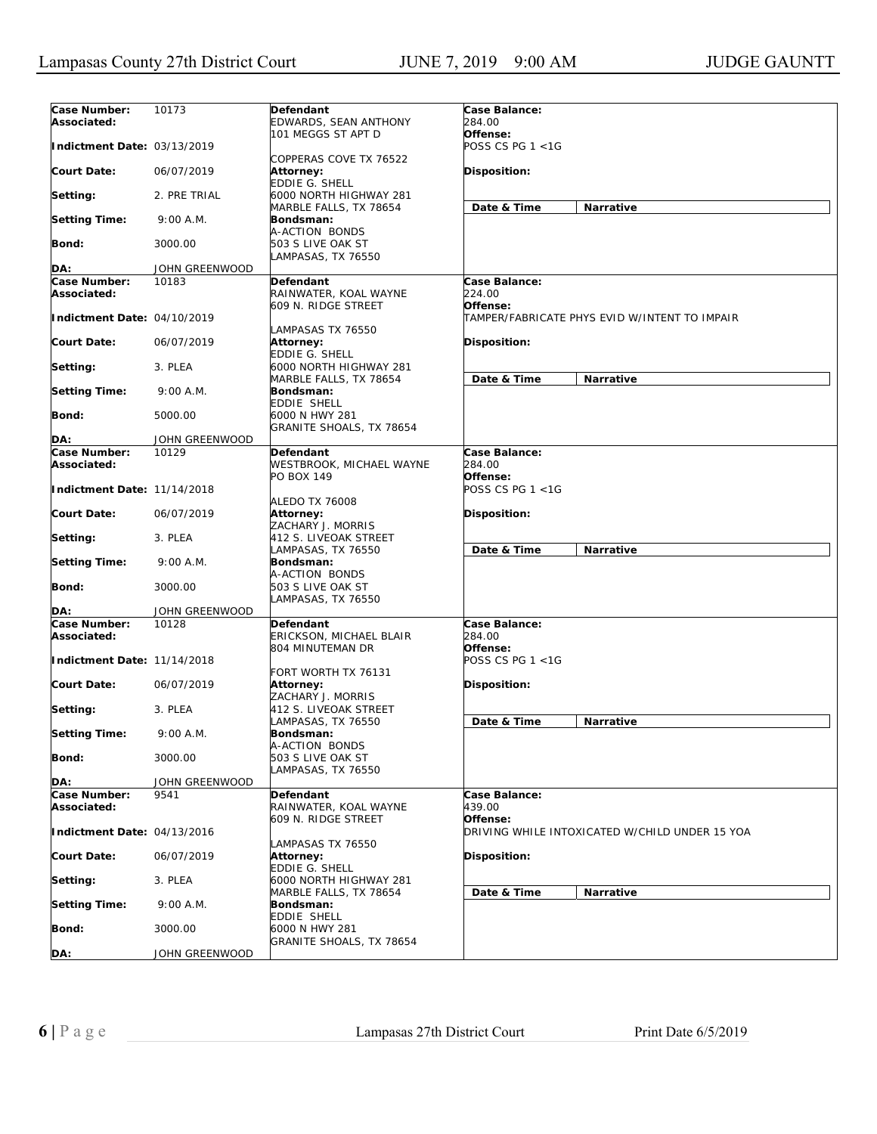| Case Number:<br>Associated: | 10173          | Defendant<br>EDWARDS, SEAN ANTHONY                               | Case Balance:<br>284.00             |                                                |
|-----------------------------|----------------|------------------------------------------------------------------|-------------------------------------|------------------------------------------------|
| Indictment Date: 03/13/2019 |                | 101 MEGGS ST APT D                                               | Offense:<br>POSS CS PG 1 <1G        |                                                |
| <b>Court Date:</b>          | 06/07/2019     | COPPERAS COVE TX 76522<br>Attorney:<br><b>EDDIE G. SHELL</b>     | Disposition:                        |                                                |
| Setting:                    | 2. PRE TRIAL   | 6000 NORTH HIGHWAY 281<br>MARBLE FALLS, TX 78654                 | Date & Time                         | Narrative                                      |
| <b>Setting Time:</b>        | 9:00 A.M.      | Bondsman:<br>A-ACTION BONDS                                      |                                     |                                                |
| Bond:                       | 3000.00        | 503 S LIVE OAK ST<br>LAMPASAS, TX 76550                          |                                     |                                                |
|                             |                |                                                                  |                                     |                                                |
| DA:                         | JOHN GREENWOOD |                                                                  |                                     |                                                |
| Case Number:<br>Associated: | 10183          | <b>Defendant</b><br>RAINWATER, KOAL WAYNE<br>609 N. RIDGE STREET | Case Balance:<br>224.00<br>Offense: |                                                |
| Indictment Date: 04/10/2019 |                | LAMPASAS TX 76550                                                |                                     | TAMPER/FABRICATE PHYS EVID W/INTENT TO IMPAIR  |
| Court Date:                 | 06/07/2019     | Attorney:<br>EDDIE G. SHELL                                      | Disposition:                        |                                                |
| Setting:                    | 3. PLEA        | 6000 NORTH HIGHWAY 281<br>MARBLE FALLS, TX 78654                 | Date & Time                         | Narrative                                      |
| <b>Setting Time:</b>        | 9:00 A.M.      | Bondsman:<br>EDDIE SHELL                                         |                                     |                                                |
| Bond:                       | 5000.00        | 6000 N HWY 281<br>GRANITE SHOALS, TX 78654                       |                                     |                                                |
| DA:                         | JOHN GREENWOOD |                                                                  |                                     |                                                |
| Case Number:                | 10129          | <b>Defendant</b>                                                 | Case Balance:                       |                                                |
| Associated:                 |                | WESTBROOK, MICHAEL WAYNE                                         | 284.00                              |                                                |
| Indictment Date: 11/14/2018 |                | PO BOX 149                                                       | Offense:<br>POSS CS PG 1 <1G        |                                                |
| Court Date:                 | 06/07/2019     | <b>ALEDO TX 76008</b><br>Attorney:<br>ZACHARY J. MORRIS          | Disposition:                        |                                                |
| Setting:                    | 3. PLEA        | 412 S. LIVEOAK STREET<br>LAMPASAS, TX 76550                      | Date & Time                         | Narrative                                      |
| <b>Setting Time:</b>        | 9:00 A.M.      | Bondsman:<br>A-ACTION BONDS                                      |                                     |                                                |
| <b>Bond:</b>                | 3000.00        | 503 S LIVE OAK ST<br>LAMPASAS, TX 76550                          |                                     |                                                |
| DA:                         | JOHN GREENWOOD |                                                                  |                                     |                                                |
| Case Number:<br>Associated: | 10128          | Defendant<br>ERICKSON, MICHAEL BLAIR                             | Case Balance:<br>284.00             |                                                |
| Indictment Date: 11/14/2018 |                | 804 MINUTEMAN DR                                                 | Offense:<br>POSS CS PG $1 < 1G$     |                                                |
| <b>Court Date:</b>          | 06/07/2019     | FORT WORTH TX 76131<br>Attorney:                                 | Disposition:                        |                                                |
| Setting:                    | 3. PLEA        | ZACHARY J. MORRIS<br>412 S. LIVEOAK STREET                       |                                     |                                                |
| <b>Setting Time:</b>        | 9:00 A.M.      | LAMPASAS, TX 76550<br>Bondsman:                                  | Date & Time                         | Narrative                                      |
| Bond:                       | 3000.00        | A-ACTION BONDS<br>503 S LIVE OAK ST<br>LAMPASAS, TX 76550        |                                     |                                                |
| DA:                         | JOHN GREENWOOD |                                                                  |                                     |                                                |
| Case Number:<br>Associated: | 9541           | Defendant<br>RAINWATER, KOAL WAYNE                               | Case Balance:<br>439.00             |                                                |
| Indictment Date: 04/13/2016 |                | 609 N. RIDGE STREET                                              | Offense:                            | DRIVING WHILE INTOXICATED W/CHILD UNDER 15 YOA |
|                             |                | LAMPASAS TX 76550                                                |                                     |                                                |
| <b>Court Date:</b>          | 06/07/2019     | Attorney:<br><b>EDDIE G. SHELL</b>                               | Disposition:                        |                                                |
| Setting:                    | 3. PLEA        | 6000 NORTH HIGHWAY 281<br>MARBLE FALLS, TX 78654                 | Date & Time                         | Narrative                                      |
| <b>Setting Time:</b>        | 9:00 A.M.      | Bondsman:<br>EDDIE SHELL                                         |                                     |                                                |
| <b>Bond:</b>                | 3000.00        | 6000 N HWY 281<br>GRANITE SHOALS, TX 78654                       |                                     |                                                |
| DA:                         | JOHN GREENWOOD |                                                                  |                                     |                                                |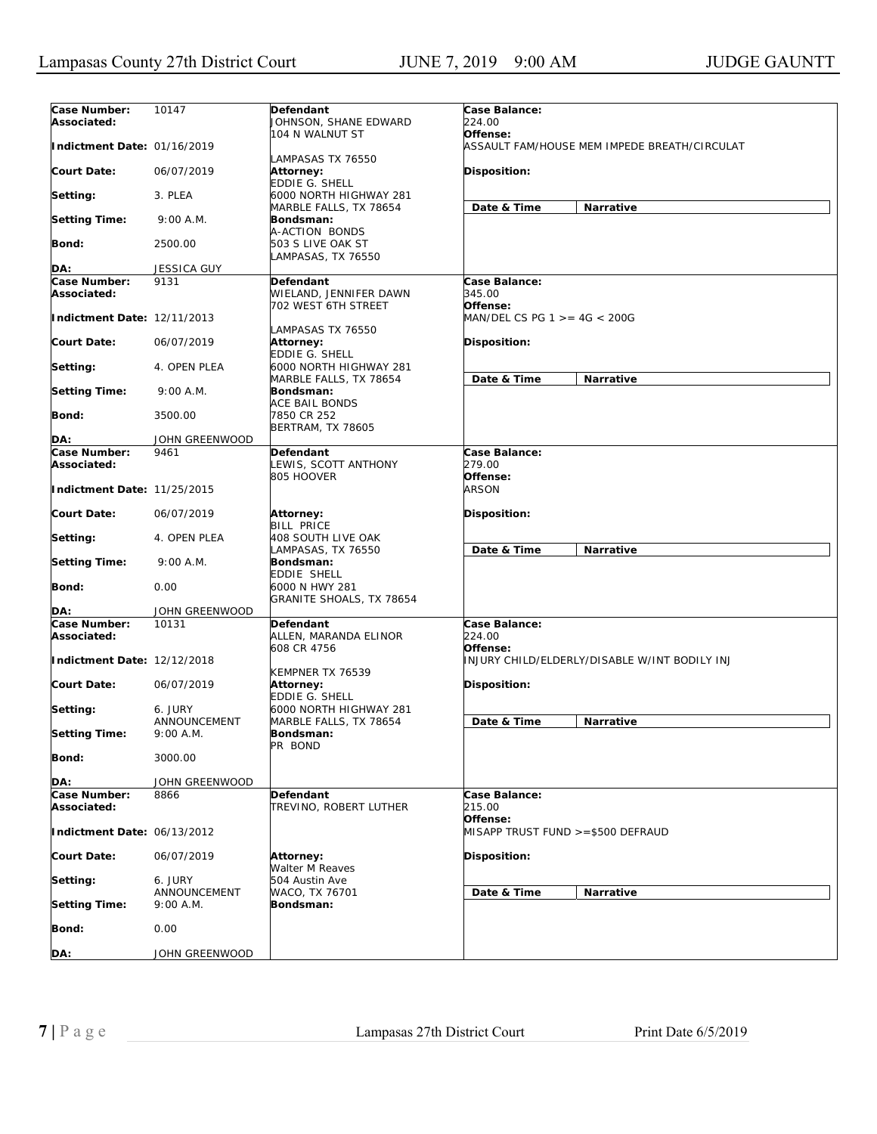| Case Number:<br>Associated: | 10147                       | Defendant<br>JOHNSON, SHANE EDWARD                     | Case Balance:<br>224.00                       |                                               |
|-----------------------------|-----------------------------|--------------------------------------------------------|-----------------------------------------------|-----------------------------------------------|
|                             |                             | 104 N WALNUT ST                                        | Offense:                                      |                                               |
| Indictment Date: 01/16/2019 |                             | LAMPASAS TX 76550                                      |                                               | ASSAULT FAM/HOUSE MEM IMPEDE BREATH/CIRCULAT  |
| <b>Court Date:</b>          | 06/07/2019                  | Attorney:<br><b>EDDIE G. SHELL</b>                     | <b>Disposition:</b>                           |                                               |
| Setting:                    | 3. PLEA                     | 6000 NORTH HIGHWAY 281                                 | Date & Time                                   |                                               |
| <b>Setting Time:</b>        | 9:00 A.M.                   | MARBLE FALLS, TX 78654<br>Bondsman:                    |                                               | Narrative                                     |
| Bond:                       | 2500.00                     | A-ACTION BONDS<br>503 S LIVE OAK ST                    |                                               |                                               |
| DA:                         | <b>JESSICA GUY</b>          | LAMPASAS, TX 76550                                     |                                               |                                               |
| Case Number:                | 9131                        | Defendant                                              | Case Balance:                                 |                                               |
| Associated:                 |                             | WIELAND, JENNIFER DAWN<br>702 WEST 6TH STREET          | 345.00<br>Offense:                            |                                               |
| Indictment Date: 12/11/2013 |                             | LAMPASAS TX 76550                                      | $MAN/DEL CS PG 1 > = 4G < 200G$               |                                               |
| Court Date:                 | 06/07/2019                  | Attorney:<br>EDDIE G. SHELL                            | <b>Disposition:</b>                           |                                               |
| Setting:                    | 4. OPEN PLEA                | 6000 NORTH HIGHWAY 281                                 | Date & Time                                   |                                               |
| <b>Setting Time:</b>        | 9:00 A.M.                   | MARBLE FALLS, TX 78654<br>Bondsman:                    |                                               | Narrative                                     |
| Bond:                       | 3500.00                     | ACE BAIL BONDS<br>7850 CR 252<br>BERTRAM, TX 78605     |                                               |                                               |
| DA:                         | JOHN GREENWOOD              |                                                        |                                               |                                               |
| Case Number:                | 9461                        | Defendant                                              | Case Balance:                                 |                                               |
| Associated:                 |                             | LEWIS, SCOTT ANTHONY                                   | 279.00                                        |                                               |
| Indictment Date: 11/25/2015 |                             | 805 HOOVER                                             | Offense:<br><b>ARSON</b>                      |                                               |
| <b>Court Date:</b>          | 06/07/2019                  | <b>Attorney:</b><br><b>BILL PRICE</b>                  | <b>Disposition:</b>                           |                                               |
| Setting:                    | 4. OPEN PLEA                | 408 SOUTH LIVE OAK<br>LAMPASAS, TX 76550               | Date & Time                                   | Narrative                                     |
| <b>Setting Time:</b>        | 9:00 A.M.                   | Bondsman:<br>EDDIE SHELL                               |                                               |                                               |
| Bond:                       | 0.00                        | 6000 N HWY 281<br>GRANITE SHOALS, TX 78654             |                                               |                                               |
| DA:                         | JOHN GREENWOOD              |                                                        |                                               |                                               |
| Case Number:<br>Associated: | 10131                       | Defendant<br>ALLEN, MARANDA ELINOR<br>608 CR 4756      | Case Balance:<br>224.00<br>Offense:           |                                               |
| Indictment Date: 12/12/2018 |                             |                                                        |                                               | INJURY CHILD/ELDERLY/DISABLE W/INT BODILY INJ |
| Court Date:                 | 06/07/2019                  | KEMPNER TX 76539<br>Attorney:<br><b>EDDIE G. SHELL</b> | Disposition:                                  |                                               |
| Setting:                    | 6. JURY                     | 6000 NORTH HIGHWAY 281                                 |                                               |                                               |
| <b>Setting Time:</b>        | ANNOUNCEMENT<br>$9:00$ A.M. | MARBLE FALLS, TX 78654<br>Bondsman:                    | Date & Time                                   | Narrative                                     |
| Bond:                       | 3000.00                     | PR BOND                                                |                                               |                                               |
| DA:                         | JOHN GREENWOOD              |                                                        |                                               |                                               |
| Case Number:<br>Associated: | 8866                        | Defendant<br>TREVINO, ROBERT LUTHER                    | Case Balance:<br>215.00                       |                                               |
| Indictment Date: 06/13/2012 |                             |                                                        | Offense:<br>MISAPP TRUST FUND >=\$500 DEFRAUD |                                               |
| Court Date:                 | 06/07/2019                  | Attorney:<br>Walter M Reaves                           | Disposition:                                  |                                               |
| Setting:                    | 6. JURY                     | 504 Austin Ave                                         |                                               |                                               |
| <b>Setting Time:</b>        | ANNOUNCEMENT<br>9:00 A.M.   | WACO, TX 76701<br>Bondsman:                            | Date & Time                                   | Narrative                                     |
| <b>Bond:</b>                | 0.00                        |                                                        |                                               |                                               |
| DA:                         | JOHN GREENWOOD              |                                                        |                                               |                                               |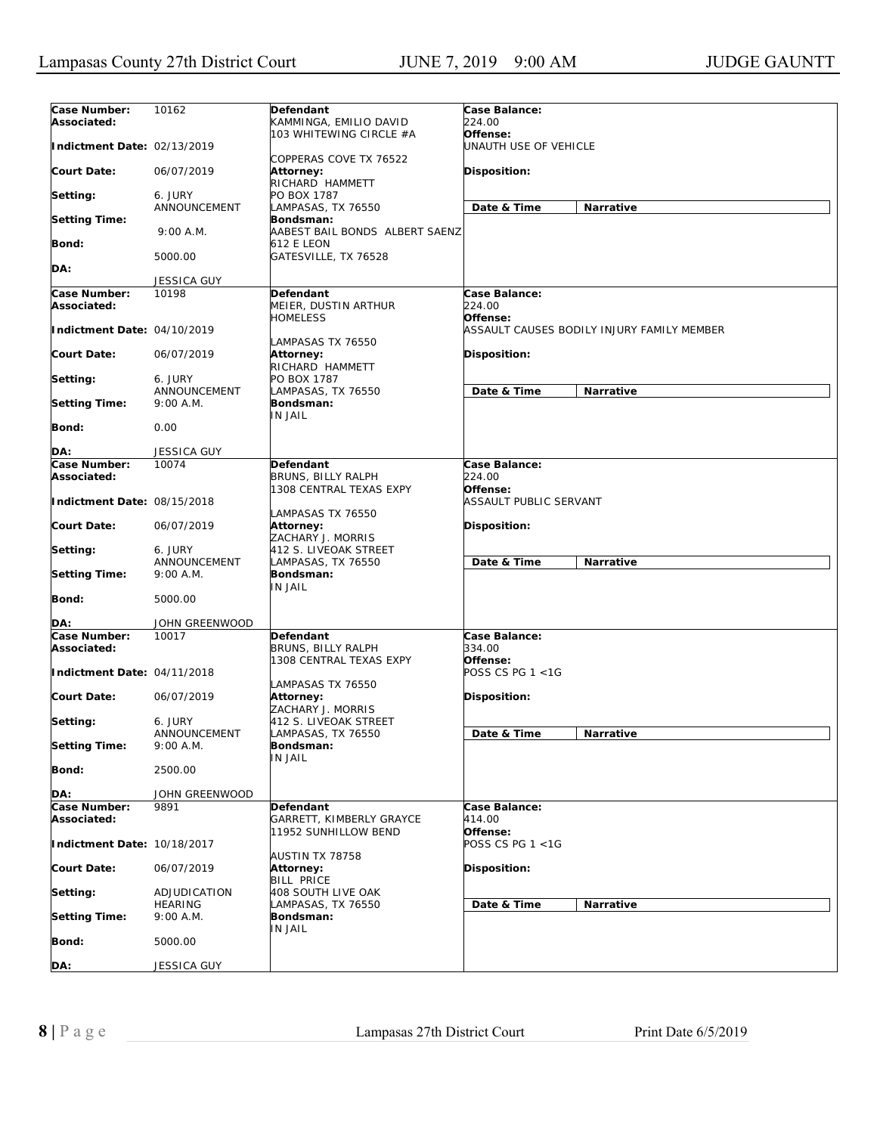| Case Number:<br>Associated: | 10162                       | Defendant<br>KAMMINGA, EMILIO DAVID                    | Case Balance:<br>224.00                    |
|-----------------------------|-----------------------------|--------------------------------------------------------|--------------------------------------------|
| Indictment Date: 02/13/2019 |                             | 103 WHITEWING CIRCLE #A                                | Offense:<br>UNAUTH USE OF VEHICLE          |
| <b>Court Date:</b>          | 06/07/2019                  | COPPERAS COVE TX 76522<br>Attorney:<br>RICHARD HAMMETT | Disposition:                               |
| Setting:                    | 6. JURY                     | PO BOX 1787                                            |                                            |
| <b>Setting Time:</b>        | ANNOUNCEMENT                | LAMPASAS, TX 76550<br>Bondsman:                        | Date & Time<br>Narrative                   |
| Bond:                       | 9:00 A.M.                   | AABEST BAIL BONDS ALBERT SAENZ<br><b>612 E LEON</b>    |                                            |
| DA:                         | 5000.00                     | GATESVILLE, TX 76528                                   |                                            |
|                             | JESSICA GUY                 |                                                        |                                            |
| Case Number:                | 10198                       | Defendant                                              | Case Balance:                              |
| Associated:                 |                             | MEIER, DUSTIN ARTHUR<br>HOMELESS                       | 224.00<br>Offense:                         |
| Indictment Date: 04/10/2019 |                             | LAMPASAS TX 76550                                      | ASSAULT CAUSES BODILY INJURY FAMILY MEMBER |
| <b>Court Date:</b>          | 06/07/2019                  | Attorney:<br>RICHARD HAMMETT                           | Disposition:                               |
| Setting:                    | 6. JURY                     | PO BOX 1787                                            |                                            |
| <b>Setting Time:</b>        | ANNOUNCEMENT<br>9:00 A.M.   | LAMPASAS, TX 76550<br>Bondsman:                        | Date & Time<br>Narrative                   |
| Bond:                       | 0.00                        | IN JAIL                                                |                                            |
| DA:                         | JESSICA GUY                 |                                                        |                                            |
| Case Number:<br>Associated: | 10074                       | <b>Defendant</b><br>BRUNS, BILLY RALPH                 | Case Balance:<br>224.00                    |
| Indictment Date: 08/15/2018 |                             | 1308 CENTRAL TEXAS EXPY<br>LAMPASAS TX 76550           | Offense:<br>ASSAULT PUBLIC SERVANT         |
| <b>Court Date:</b>          | 06/07/2019                  | Attorney:<br>ZACHARY J. MORRIS                         | Disposition:                               |
| Setting:                    | 6. JURY<br>ANNOUNCEMENT     | 412 S. LIVEOAK STREET<br>LAMPASAS, TX 76550            | Date & Time<br>Narrative                   |
| <b>Setting Time:</b>        | 9:00 A.M.                   | Bondsman:<br>IN JAIL                                   |                                            |
| Bond:                       | 5000.00                     |                                                        |                                            |
| DA:                         | JOHN GREENWOOD              |                                                        |                                            |
| Case Number:                | 10017                       | <b>Defendant</b>                                       | Case Balance:                              |
| Associated:                 |                             | BRUNS, BILLY RALPH<br>1308 CENTRAL TEXAS EXPY          | 334.00<br>Offense:                         |
| Indictment Date: 04/11/2018 |                             | LAMPASAS TX 76550                                      | POSS CS PG 1 <1G                           |
| <b>Court Date:</b>          | 06/07/2019                  | Attorney:<br>ZACHARY J. MORRIS                         | Disposition:                               |
| Setting:                    | 6. JURY<br>ANNOUNCEMENT     | 412 S. LIVEOAK STREET<br>LAMPASAS, TX 76550            | Date & Time<br>Narrative                   |
| <b>Setting Time:</b>        | 9:00 A.M.                   | Bondsman:<br>IN JAIL                                   |                                            |
| Bond:                       | 2500.00                     |                                                        |                                            |
| DA:                         | JOHN GREENWOOD              |                                                        |                                            |
| Case Number:<br>Associated: | 9891                        | <b>Defendant</b><br>GARRETT, KIMBERLY GRAYCE           | Case Balance:<br>414.00                    |
| Indictment Date: 10/18/2017 |                             | 11952 SUNHILLOW BEND                                   | Offense:<br>POSS CS PG 1 <1G               |
| <b>Court Date:</b>          | 06/07/2019                  | AUSTIN TX 78758<br>Attorney:                           | Disposition:                               |
| Setting:                    | ADJUDICATION                | <b>BILL PRICE</b><br>408 SOUTH LIVE OAK                |                                            |
| <b>Setting Time:</b>        | <b>HEARING</b><br>9:00 A.M. | LAMPASAS, TX 76550<br>Bondsman:                        | Date & Time<br>Narrative                   |
| Bond:                       | 5000.00                     | IN JAIL                                                |                                            |
| DA:                         | JESSICA GUY                 |                                                        |                                            |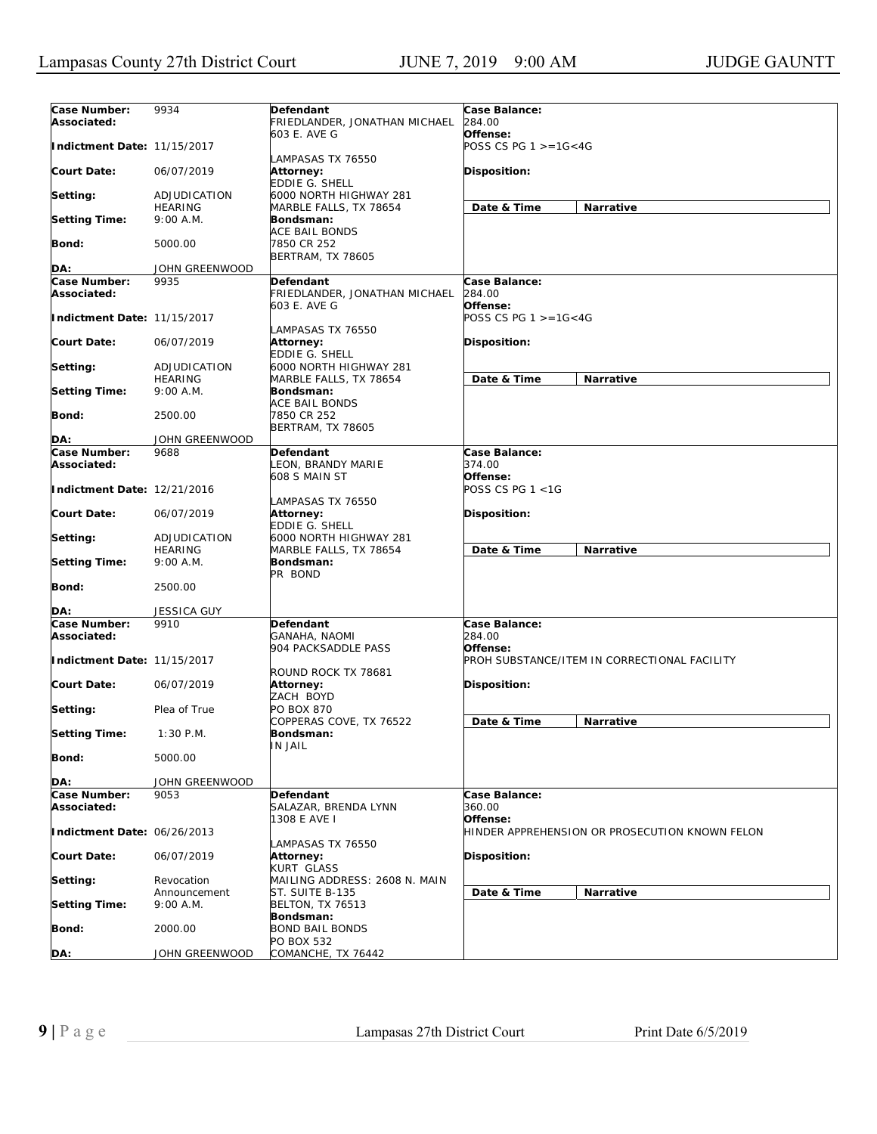| Case Number:<br>Associated: | 9934                      | Defendant<br>FRIEDLANDER, JONATHAN MICHAEL       | Case Balance:<br>284.00                                  |
|-----------------------------|---------------------------|--------------------------------------------------|----------------------------------------------------------|
| Indictment Date: 11/15/2017 |                           | 603 E. AVE G<br>LAMPASAS TX 76550                | Offense:<br>POSS CS PG $1 > = 1G < 4G$                   |
| <b>Court Date:</b>          | 06/07/2019                | <b>Attorney:</b><br>EDDIE G. SHELL               | <b>Disposition:</b>                                      |
| Setting:                    | ADJUDICATION              | 6000 NORTH HIGHWAY 281                           |                                                          |
|                             | <b>HEARING</b>            | MARBLE FALLS, TX 78654                           | Date & Time<br>Narrative                                 |
| <b>Setting Time:</b>        | 9:00 A.M.                 | <b>Bondsman:</b><br>ACE BAIL BONDS               |                                                          |
| Bond:                       | 5000.00                   | 7850 CR 252<br><b>BERTRAM, TX 78605</b>          |                                                          |
| DA:                         | JOHN GREENWOOD            |                                                  |                                                          |
| Case Number:                | 9935                      | Defendant                                        | Case Balance:                                            |
| Associated:                 |                           | FRIEDLANDER, JONATHAN MICHAEL<br>603 E. AVE G    | 284.00<br>Offense:                                       |
| Indictment Date: 11/15/2017 |                           | LAMPASAS TX 76550                                | POSS CS PG $1 > = 1G < 4G$                               |
| <b>Court Date:</b>          | 06/07/2019                | Attorney:<br>EDDIE G. SHELL                      | <b>Disposition:</b>                                      |
| Setting:                    | ADJUDICATION              | 6000 NORTH HIGHWAY 281                           |                                                          |
|                             | HEARING                   | MARBLE FALLS, TX 78654                           | Date & Time<br>Narrative                                 |
| <b>Setting Time:</b>        | 9:00 A.M.                 | Bondsman:<br>ACE BAIL BONDS                      |                                                          |
| Bond:                       | 2500.00                   | 7850 CR 252<br><b>BERTRAM, TX 78605</b>          |                                                          |
| DA:                         | JOHN GREENWOOD            |                                                  |                                                          |
| Case Number:                | 9688                      | Defendant                                        | Case Balance:                                            |
| Associated:                 |                           | LEON, BRANDY MARIE<br>608 S MAIN ST              | 374.00<br>Offense:                                       |
| Indictment Date: 12/21/2016 |                           |                                                  | POSS CS PG 1 <1G                                         |
| <b>Court Date:</b>          | 06/07/2019                | LAMPASAS TX 76550<br>Attorney:<br>EDDIE G. SHELL | <b>Disposition:</b>                                      |
| Setting:                    | ADJUDICATION              | 6000 NORTH HIGHWAY 281                           |                                                          |
|                             | HEARING                   | MARBLE FALLS, TX 78654                           | Date & Time<br>Narrative                                 |
| <b>Setting Time:</b>        | 9:00 A.M.                 | Bondsman:<br>PR BOND                             |                                                          |
| Bond:                       | 2500.00                   |                                                  |                                                          |
| DA:                         | JESSICA GUY               |                                                  |                                                          |
| Case Number:<br>Associated: | 9910                      | Defendant<br>GANAHA, NAOMI                       | Case Balance:<br>284.00                                  |
| Indictment Date: 11/15/2017 |                           | 904 PACKSADDLE PASS                              | Offense:<br>PROH SUBSTANCE/ITEM IN CORRECTIONAL FACILITY |
| <b>Court Date:</b>          | 06/07/2019                | ROUND ROCK TX 78681<br>Attorney:                 | <b>Disposition:</b>                                      |
| Setting:                    | Plea of True              | ZACH BOYD<br>PO BOX 870                          |                                                          |
| <b>Setting Time:</b>        | $1:30$ P.M.               | COPPERAS COVE, TX 76522<br>Bondsman:             | Date & Time<br>Narrative                                 |
| <b>Bond:</b>                | 5000.00                   | <b>IN JAIL</b>                                   |                                                          |
| DA:                         | JOHN GREENWOOD            |                                                  |                                                          |
| Case Number:                | 9053                      | Defendant                                        | Case Balance:                                            |
| Associated:                 |                           | SALAZAR, BRENDA LYNN<br>1308 E AVE I             | 360.00<br>Offense:                                       |
| Indictment Date: 06/26/2013 |                           |                                                  | HINDER APPREHENSION OR PROSECUTION KNOWN FELON           |
| <b>Court Date:</b>          | 06/07/2019                | LAMPASAS TX 76550<br>Attorney:<br>KURT GLASS     | Disposition:                                             |
| Setting:                    | Revocation                | MAILING ADDRESS: 2608 N. MAIN                    |                                                          |
| <b>Setting Time:</b>        | Announcement<br>9:00 A.M. | ST. SUITE B-135<br><b>BELTON, TX 76513</b>       | Date & Time<br>Narrative                                 |
| <b>Bond:</b>                | 2000.00                   | Bondsman:<br>BOND BAIL BONDS                     |                                                          |
|                             |                           | PO BOX 532                                       |                                                          |
| DA:                         | JOHN GREENWOOD            | COMANCHE, TX 76442                               |                                                          |